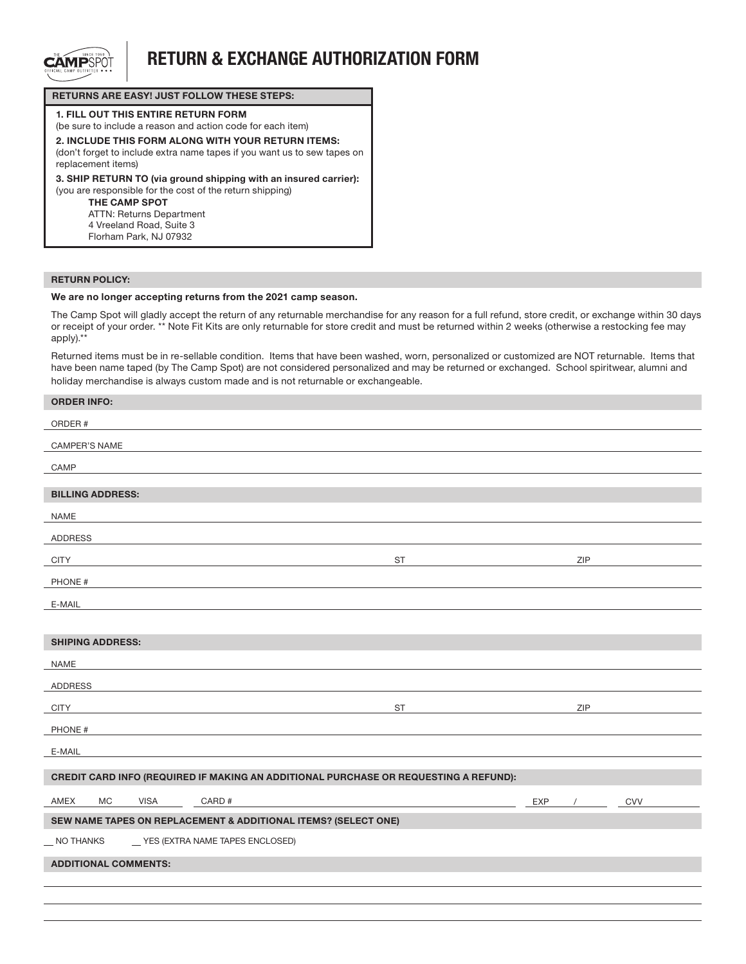

## RETURN & EXCHANGE AUTHORIZATION FORM

### RETURNS ARE EASY! JUST FOLLOW THESE STEPS:

1. FILL OUT THIS ENTIRE RETURN FORM (be sure to include a reason and action code for each item) 2. INCLUDE THIS FORM ALONG WITH YOUR RETURN ITEMS: (don't forget to include extra name tapes if you want us to sew tapes on replacement items) 3. SHIP RETURN TO (via ground shipping with an insured carrier): (you are responsible for the cost of the return shipping) THE CAMP SPOT ATTN: Returns Department 4 Vreeland Road, Suite 3 Florham Park, NJ 07932

#### RETURN POLICY:

### We are no longer accepting returns from the 2021 camp season.

The Camp Spot will gladly accept the return of any returnable merchandise for any reason for a full refund, store credit, or exchange within 30 days or receipt of your order. \*\* Note Fit Kits are only returnable for store credit and must be returned within 2 weeks (otherwise a restocking fee may apply).\*\*

Returned items must be in re-sellable condition. Items that have been washed, worn, personalized or customized are NOT returnable. Items that have been name taped (by The Camp Spot) are not considered personalized and may be returned or exchanged. School spiritwear, alumni and holiday merchandise is always custom made and is not returnable or exchangeable.

| <b>ORDER INFO:</b>                                                                   |           |     |     |     |  |  |
|--------------------------------------------------------------------------------------|-----------|-----|-----|-----|--|--|
| ORDER #                                                                              |           |     |     |     |  |  |
| CAMPER'S NAME                                                                        |           |     |     |     |  |  |
| CAMP                                                                                 |           |     |     |     |  |  |
| <b>BILLING ADDRESS:</b>                                                              |           |     |     |     |  |  |
| NAME                                                                                 |           |     |     |     |  |  |
| ADDRESS                                                                              |           |     |     |     |  |  |
| <b>CITY</b>                                                                          | <b>ST</b> |     | ZIP |     |  |  |
| PHONE #                                                                              |           |     |     |     |  |  |
| E-MAIL                                                                               |           |     |     |     |  |  |
|                                                                                      |           |     |     |     |  |  |
| <b>SHIPING ADDRESS:</b>                                                              |           |     |     |     |  |  |
| <b>NAME</b>                                                                          |           |     |     |     |  |  |
| <b>ADDRESS</b>                                                                       |           |     |     |     |  |  |
| <b>CITY</b>                                                                          | <b>ST</b> |     | ZIP |     |  |  |
| PHONE #                                                                              |           |     |     |     |  |  |
| E-MAIL                                                                               |           |     |     |     |  |  |
| CREDIT CARD INFO (REQUIRED IF MAKING AN ADDITIONAL PURCHASE OR REQUESTING A REFUND): |           |     |     |     |  |  |
| CARD #<br>AMEX<br><b>MC</b><br><b>VISA</b>                                           |           | EXP |     | CVV |  |  |
| SEW NAME TAPES ON REPLACEMENT & ADDITIONAL ITEMS? (SELECT ONE)                       |           |     |     |     |  |  |
| _ YES (EXTRA NAME TAPES ENCLOSED)<br><b>NO THANKS</b>                                |           |     |     |     |  |  |
| <b>ADDITIONAL COMMENTS:</b>                                                          |           |     |     |     |  |  |
|                                                                                      |           |     |     |     |  |  |
|                                                                                      |           |     |     |     |  |  |